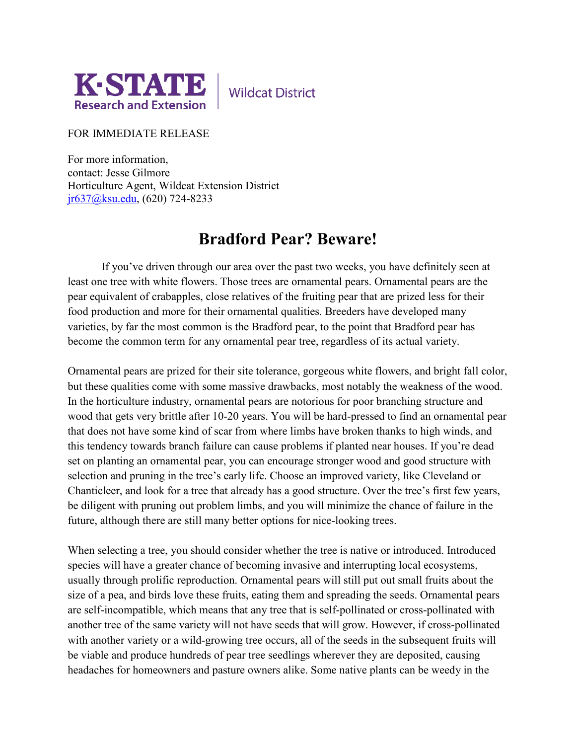

**Wildcat District** 

## FOR IMMEDIATE RELEASE

For more information, contact: Jesse Gilmore Horticulture Agent, Wildcat Extension District [jr637@ksu.edu,](mailto:jr637@ksu.edu) (620) 724-8233

## **Bradford Pear? Beware!**

If you've driven through our area over the past two weeks, you have definitely seen at least one tree with white flowers. Those trees are ornamental pears. Ornamental pears are the pear equivalent of crabapples, close relatives of the fruiting pear that are prized less for their food production and more for their ornamental qualities. Breeders have developed many varieties, by far the most common is the Bradford pear, to the point that Bradford pear has become the common term for any ornamental pear tree, regardless of its actual variety.

Ornamental pears are prized for their site tolerance, gorgeous white flowers, and bright fall color, but these qualities come with some massive drawbacks, most notably the weakness of the wood. In the horticulture industry, ornamental pears are notorious for poor branching structure and wood that gets very brittle after 10-20 years. You will be hard-pressed to find an ornamental pear that does not have some kind of scar from where limbs have broken thanks to high winds, and this tendency towards branch failure can cause problems if planted near houses. If you're dead set on planting an ornamental pear, you can encourage stronger wood and good structure with selection and pruning in the tree's early life. Choose an improved variety, like Cleveland or Chanticleer, and look for a tree that already has a good structure. Over the tree's first few years, be diligent with pruning out problem limbs, and you will minimize the chance of failure in the future, although there are still many better options for nice-looking trees.

When selecting a tree, you should consider whether the tree is native or introduced. Introduced species will have a greater chance of becoming invasive and interrupting local ecosystems, usually through prolific reproduction. Ornamental pears will still put out small fruits about the size of a pea, and birds love these fruits, eating them and spreading the seeds. Ornamental pears are self-incompatible, which means that any tree that is self-pollinated or cross-pollinated with another tree of the same variety will not have seeds that will grow. However, if cross-pollinated with another variety or a wild-growing tree occurs, all of the seeds in the subsequent fruits will be viable and produce hundreds of pear tree seedlings wherever they are deposited, causing headaches for homeowners and pasture owners alike. Some native plants can be weedy in the